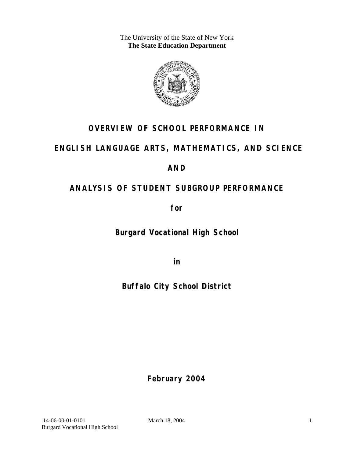The University of the State of New York **The State Education Department** 



# **OVERVIEW OF SCHOOL PERFORMANCE IN**

## **ENGLISH LANGUAGE ARTS, MATHEMATICS, AND SCIENCE**

### **AND**

# **ANALYSIS OF STUDENT SUBGROUP PERFORMANCE**

**for** 

**Burgard Vocational High School**

**in** 

# **Buffalo City School District**

**February 2004**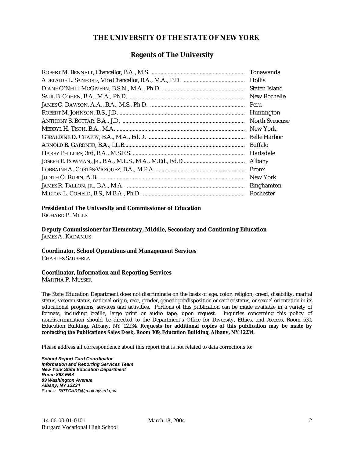#### **THE UNIVERSITY OF THE STATE OF NEW YORK**

#### **Regents of The University**

| Tonawanda             |
|-----------------------|
| <b>Hollis</b>         |
| Staten Island         |
| New Rochelle          |
| Peru                  |
| Huntington            |
| <b>North Syracuse</b> |
| New York              |
| <b>Belle Harbor</b>   |
| Buffalo               |
| Hartsdale             |
| Albany                |
| <b>Bronx</b>          |
| New York              |
| <b>Binghamton</b>     |
| Rochester             |

#### **President of The University and Commissioner of Education**

RICHARD P. MILLS

**Deputy Commissioner for Elementary, Middle, Secondary and Continuing Education**  JAMES A. KADAMUS

#### **Coordinator, School Operations and Management Services**

CHARLES SZUBERLA

#### **Coordinator, Information and Reporting Services**

MARTHA P. MUSSER

The State Education Department does not discriminate on the basis of age, color, religion, creed, disability, marital status, veteran status, national origin, race, gender, genetic predisposition or carrier status, or sexual orientation in its educational programs, services and activities. Portions of this publication can be made available in a variety of formats, including braille, large print or audio tape, upon request. Inquiries concerning this policy of nondiscrimination should be directed to the Department's Office for Diversity, Ethics, and Access, Room 530, Education Building, Albany, NY 12234. **Requests for additional copies of this publication may be made by contacting the Publications Sales Desk, Room 309, Education Building, Albany, NY 12234.** 

Please address all correspondence about this report that is not related to data corrections to:

*School Report Card Coordinator Information and Reporting Services Team New York State Education Department Room 863 EBA 89 Washington Avenue Albany, NY 12234*  E-mail: *RPTCARD@mail.nysed.gov*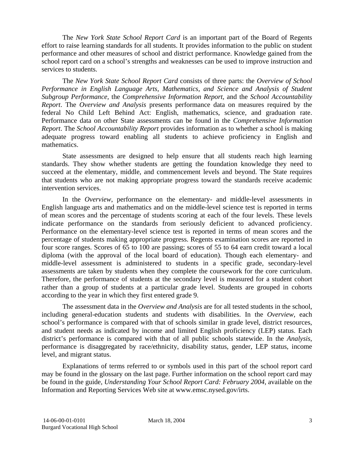The *New York State School Report Card* is an important part of the Board of Regents effort to raise learning standards for all students. It provides information to the public on student performance and other measures of school and district performance. Knowledge gained from the school report card on a school's strengths and weaknesses can be used to improve instruction and services to students.

The *New York State School Report Card* consists of three parts: the *Overview of School Performance in English Language Arts, Mathematics, and Science and Analysis of Student Subgroup Performance,* the *Comprehensive Information Report,* and the *School Accountability Report*. The *Overview and Analysis* presents performance data on measures required by the federal No Child Left Behind Act: English, mathematics, science, and graduation rate. Performance data on other State assessments can be found in the *Comprehensive Information Report*. The *School Accountability Report* provides information as to whether a school is making adequate progress toward enabling all students to achieve proficiency in English and mathematics.

State assessments are designed to help ensure that all students reach high learning standards. They show whether students are getting the foundation knowledge they need to succeed at the elementary, middle, and commencement levels and beyond. The State requires that students who are not making appropriate progress toward the standards receive academic intervention services.

In the *Overview*, performance on the elementary- and middle-level assessments in English language arts and mathematics and on the middle-level science test is reported in terms of mean scores and the percentage of students scoring at each of the four levels. These levels indicate performance on the standards from seriously deficient to advanced proficiency. Performance on the elementary-level science test is reported in terms of mean scores and the percentage of students making appropriate progress. Regents examination scores are reported in four score ranges. Scores of 65 to 100 are passing; scores of 55 to 64 earn credit toward a local diploma (with the approval of the local board of education). Though each elementary- and middle-level assessment is administered to students in a specific grade, secondary-level assessments are taken by students when they complete the coursework for the core curriculum. Therefore, the performance of students at the secondary level is measured for a student cohort rather than a group of students at a particular grade level. Students are grouped in cohorts according to the year in which they first entered grade 9.

The assessment data in the *Overview and Analysis* are for all tested students in the school, including general-education students and students with disabilities. In the *Overview*, each school's performance is compared with that of schools similar in grade level, district resources, and student needs as indicated by income and limited English proficiency (LEP) status. Each district's performance is compared with that of all public schools statewide. In the *Analysis*, performance is disaggregated by race/ethnicity, disability status, gender, LEP status, income level, and migrant status.

Explanations of terms referred to or symbols used in this part of the school report card may be found in the glossary on the last page. Further information on the school report card may be found in the guide, *Understanding Your School Report Card: February 2004*, available on the Information and Reporting Services Web site at www.emsc.nysed.gov/irts.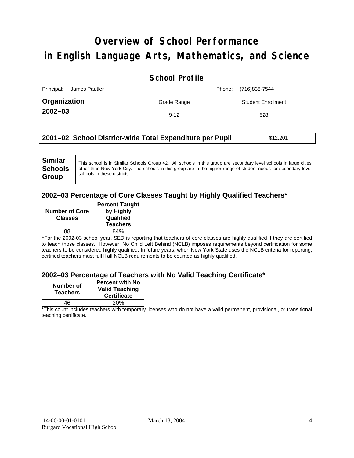# **Overview of School Performance in English Language Arts, Mathematics, and Science**

### **School Profile**

| Principal:<br>James Pautler | (716)838-7544<br>Phone: |                           |
|-----------------------------|-------------------------|---------------------------|
| <b>Organization</b>         | Grade Range             | <b>Student Enrollment</b> |
| $2002 - 03$                 | $9 - 12$                | 528                       |

| 2001–02 School District-wide Total Expenditure per Pupil | \$12,201 |
|----------------------------------------------------------|----------|
|----------------------------------------------------------|----------|

#### **2002–03 Percentage of Core Classes Taught by Highly Qualified Teachers\***

| <b>Number of Core</b><br><b>Classes</b> | <b>Percent Taught</b><br>by Highly<br>Qualified<br><b>Teachers</b> |
|-----------------------------------------|--------------------------------------------------------------------|
| 88                                      | 84%                                                                |

\*For the 2002-03 school year, SED is reporting that teachers of core classes are highly qualified if they are certified to teach those classes. However, No Child Left Behind (NCLB) imposes requirements beyond certification for some teachers to be considered highly qualified. In future years, when New York State uses the NCLB criteria for reporting, certified teachers must fulfill all NCLB requirements to be counted as highly qualified.

#### **2002–03 Percentage of Teachers with No Valid Teaching Certificate\***

| Number of<br><b>Teachers</b> | <b>Percent with No</b><br><b>Valid Teaching</b><br><b>Certificate</b> |
|------------------------------|-----------------------------------------------------------------------|
| 46                           | 20%                                                                   |

\*This count includes teachers with temporary licenses who do not have a valid permanent, provisional, or transitional teaching certificate.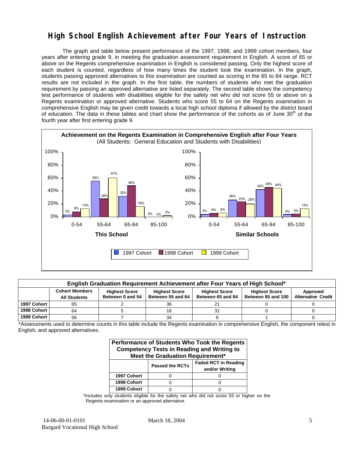### **High School English Achievement after Four Years of Instruction**

The graph and table below present performance of the 1997, 1998, and 1999 cohort members, four years after entering grade 9, in meeting the graduation assessment requirement in English. A score of 65 or above on the Regents comprehensive examination in English is considered passing. Only the highest score of each student is counted, regardless of how many times the student took the examination. In the graph, students passing approved alternatives to this examination are counted as scoring in the 65 to 84 range. RCT results are not included in the graph. In the first table, the numbers of students who met the graduation requirement by passing an approved alternative are listed separately. The second table shows the competency test performance of students with disabilities eligible for the safety net who did not score 55 or above on a Regents examination or approved alternative. Students who score 55 to 64 on the Regents examination in comprehensive English may be given credit towards a local high school diploma if allowed by the district board of education. The data in these tables and chart show the performance of the cohorts as of June 30<sup>th</sup> of the fourth year after first entering grade 9.



| English Graduation Requirement Achievement after Four Years of High School* |                                                                                                                                                                                                                                                                           |  |    |  |  |  |  |  |  |
|-----------------------------------------------------------------------------|---------------------------------------------------------------------------------------------------------------------------------------------------------------------------------------------------------------------------------------------------------------------------|--|----|--|--|--|--|--|--|
|                                                                             | <b>Cohort Members</b><br><b>Highest Score</b><br><b>Highest Score</b><br><b>Highest Score</b><br><b>Highest Score</b><br>Approved<br>Between 55 and 64<br>Between 85 and 100<br><b>Alternative Credit</b><br>Between 65 and 84<br>Between 0 and 54<br><b>All Students</b> |  |    |  |  |  |  |  |  |
| 1997 Cohort                                                                 | 65                                                                                                                                                                                                                                                                        |  | 36 |  |  |  |  |  |  |
| 1998 Cohort                                                                 | 64                                                                                                                                                                                                                                                                        |  |    |  |  |  |  |  |  |
| 1999 Cohort                                                                 | 56                                                                                                                                                                                                                                                                        |  | 34 |  |  |  |  |  |  |

\*Assessments used to determine counts in this table include the Regents examination in comprehensive English, the component retest in English, and approved alternatives.

| Performance of Students Who Took the Regents<br><b>Competency Tests in Reading and Writing to</b><br>Meet the Graduation Requirement* |                        |                                                |  |  |  |  |  |
|---------------------------------------------------------------------------------------------------------------------------------------|------------------------|------------------------------------------------|--|--|--|--|--|
|                                                                                                                                       | <b>Passed the RCTs</b> | <b>Failed RCT in Reading</b><br>and/or Writing |  |  |  |  |  |
| 1997 Cohort                                                                                                                           |                        |                                                |  |  |  |  |  |
| 1998 Cohort                                                                                                                           |                        |                                                |  |  |  |  |  |
| 1999 Cohort                                                                                                                           |                        |                                                |  |  |  |  |  |

\*Includes only students eligible for the safety net who did not score 55 or higher on the Regents examination or an approved alternative.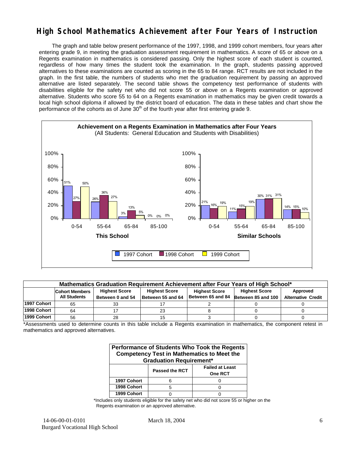### **High School Mathematics Achievement after Four Years of Instruction**

The graph and table below present performance of the 1997, 1998, and 1999 cohort members, four years after entering grade 9, in meeting the graduation assessment requirement in mathematics. A score of 65 or above on a Regents examination in mathematics is considered passing. Only the highest score of each student is counted, regardless of how many times the student took the examination. In the graph, students passing approved alternatives to these examinations are counted as scoring in the 65 to 84 range. RCT results are not included in the graph. In the first table, the numbers of students who met the graduation requirement by passing an approved alternative are listed separately. The second table shows the competency test performance of students with disabilities eligible for the safety net who did not score 55 or above on a Regents examination or approved alternative. Students who score 55 to 64 on a Regents examination in mathematics may be given credit towards a local high school diploma if allowed by the district board of education. The data in these tables and chart show the performance of the cohorts as of June  $30<sup>th</sup>$  of the fourth year after first entering grade 9.



| Mathematics Graduation Requirement Achievement after Four Years of High School* |                                                                                                                                   |                  |                   |                   |                    |                           |  |  |  |  |
|---------------------------------------------------------------------------------|-----------------------------------------------------------------------------------------------------------------------------------|------------------|-------------------|-------------------|--------------------|---------------------------|--|--|--|--|
|                                                                                 | <b>Highest Score</b><br><b>Highest Score</b><br><b>Highest Score</b><br>Approved<br><b>Cohort Members</b><br><b>Highest Score</b> |                  |                   |                   |                    |                           |  |  |  |  |
|                                                                                 | <b>All Students</b>                                                                                                               | Between 0 and 54 | Between 55 and 64 | Between 65 and 84 | Between 85 and 100 | <b>Alternative Credit</b> |  |  |  |  |
| 1997 Cohort                                                                     | 65                                                                                                                                | 33               |                   |                   |                    |                           |  |  |  |  |
| 1998 Cohort                                                                     | 64                                                                                                                                |                  | 23                |                   |                    |                           |  |  |  |  |
| 1999 Cohort                                                                     | 56                                                                                                                                | 28               |                   |                   |                    |                           |  |  |  |  |

\*Assessments used to determine counts in this table include a Regents examination in mathematics, the component retest in mathematics and approved alternatives.

| Performance of Students Who Took the Regents<br><b>Competency Test in Mathematics to Meet the</b><br><b>Graduation Requirement*</b> |   |  |  |  |  |  |  |
|-------------------------------------------------------------------------------------------------------------------------------------|---|--|--|--|--|--|--|
| <b>Failed at Least</b><br><b>Passed the RCT</b><br><b>One RCT</b>                                                                   |   |  |  |  |  |  |  |
| 1997 Cohort                                                                                                                         |   |  |  |  |  |  |  |
| 1998 Cohort                                                                                                                         | 5 |  |  |  |  |  |  |
| 1999 Cohort                                                                                                                         |   |  |  |  |  |  |  |

\*Includes only students eligible for the safety net who did not score 55 or higher on the Regents examination or an approved alternative.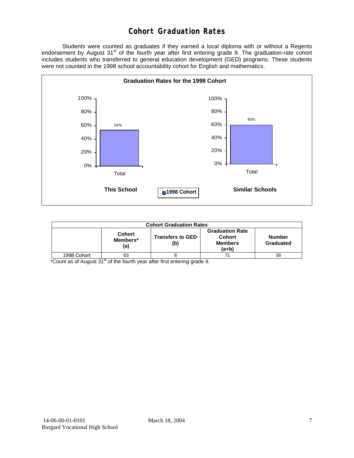### **Cohort Graduation Rates**

 Students were counted as graduates if they earned a local diploma with or without a Regents endorsement by August 31<sup>st</sup> of the fourth year after first entering grade 9. The graduation-rate cohort includes students who transferred to general education development (GED) programs. These students were not counted in the 1998 school accountability cohort for English and mathematics.



| <b>Cohort Graduation Rates</b> |                                  |                                |                                                             |                            |  |  |  |
|--------------------------------|----------------------------------|--------------------------------|-------------------------------------------------------------|----------------------------|--|--|--|
|                                | <b>Cohort</b><br>Members*<br>(a) | <b>Transfers to GED</b><br>(b) | <b>Graduation Rate</b><br>Cohort<br><b>Members</b><br>(a+b) | <b>Number</b><br>Graduated |  |  |  |
| 1998 Cohort                    | 63                               |                                |                                                             | 38                         |  |  |  |

\*Count as of August 31<sup>st</sup> of the fourth year after first entering grade 9.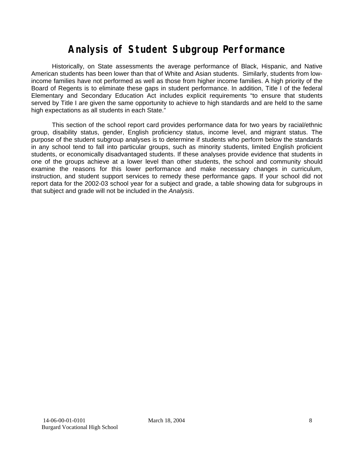# **Analysis of Student Subgroup Performance**

Historically, on State assessments the average performance of Black, Hispanic, and Native American students has been lower than that of White and Asian students. Similarly, students from lowincome families have not performed as well as those from higher income families. A high priority of the Board of Regents is to eliminate these gaps in student performance. In addition, Title I of the federal Elementary and Secondary Education Act includes explicit requirements "to ensure that students served by Title I are given the same opportunity to achieve to high standards and are held to the same high expectations as all students in each State."

This section of the school report card provides performance data for two years by racial/ethnic group, disability status, gender, English proficiency status, income level, and migrant status. The purpose of the student subgroup analyses is to determine if students who perform below the standards in any school tend to fall into particular groups, such as minority students, limited English proficient students, or economically disadvantaged students. If these analyses provide evidence that students in one of the groups achieve at a lower level than other students, the school and community should examine the reasons for this lower performance and make necessary changes in curriculum, instruction, and student support services to remedy these performance gaps. If your school did not report data for the 2002-03 school year for a subject and grade, a table showing data for subgroups in that subject and grade will not be included in the *Analysis*.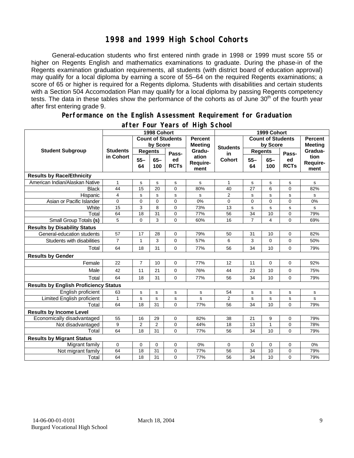### **1998 and 1999 High School Cohorts**

General-education students who first entered ninth grade in 1998 or 1999 must score 55 or higher on Regents English and mathematics examinations to graduate. During the phase-in of the Regents examination graduation requirements, all students (with district board of education approval) may qualify for a local diploma by earning a score of 55–64 on the required Regents examinations; a score of 65 or higher is required for a Regents diploma. Students with disabilities and certain students with a Section 504 Accomodation Plan may qualify for a local diploma by passing Regents competency tests. The data in these tables show the performance of the cohorts as of June 30<sup>th</sup> of the fourth year after first entering grade 9.

#### **Performance on the English Assessment Requirement for Graduation**

|                                              | 1998 Cohort     |                                            |                            |                   |                                     | 1999 Cohort              |                 |                |                   |                          |
|----------------------------------------------|-----------------|--------------------------------------------|----------------------------|-------------------|-------------------------------------|--------------------------|-----------------|----------------|-------------------|--------------------------|
|                                              |                 | <b>Count of Students</b><br><b>Percent</b> |                            |                   |                                     | <b>Count of Students</b> |                 |                | <b>Percent</b>    |                          |
| <b>Student Subgroup</b>                      |                 |                                            | by Score<br><b>Meeting</b> |                   | <b>Students</b>                     | by Score                 |                 | <b>Meeting</b> |                   |                          |
|                                              | <b>Students</b> | <b>Regents</b>                             |                            | Pass-             | Gradu-<br>ation<br>Require-<br>ment | in<br><b>Cohort</b>      | <b>Regents</b>  |                | Pass-             | Gradua-                  |
|                                              | in Cohort       | $55 -$<br>64                               | $65 -$<br>100              | ed<br><b>RCTs</b> |                                     |                          | $55 -$<br>64    | $65 -$<br>100  | ed<br><b>RCTs</b> | tion<br>Require-<br>ment |
| <b>Results by Race/Ethnicity</b>             |                 |                                            |                            |                   |                                     |                          |                 |                |                   |                          |
| American Indian/Alaskan Native               | $\mathbf{1}$    | s                                          | s                          | $\mathbf s$       | s                                   | 1                        | s               | s              | $\mathbf s$       | s                        |
| <b>Black</b>                                 | 44              | 15                                         | 20                         | $\mathbf 0$       | 80%                                 | 40                       | $\overline{27}$ | 6              | $\mathbf 0$       | 82%                      |
| Hispanic                                     | 4               | $\mathbf s$                                | s                          | s                 | s                                   | $\overline{2}$           | $\mathbf s$     | s              | s                 | s                        |
| Asian or Pacific Islander                    | 0               | 0                                          | $\mathbf 0$                | $\mathbf 0$       | 0%                                  | 0                        | 0               | 0              | $\mathbf 0$       | 0%                       |
| White                                        | 15              | 3                                          | 8                          | $\Omega$          | 73%                                 | 13                       | $\mathbf s$     | s              | s                 | s                        |
| Total                                        | 64              | 18                                         | 31                         | $\mathbf 0$       | 77%                                 | 56                       | 34              | 10             | $\mathbf 0$       | 79%                      |
| Small Group Totals (s)                       | 5               | $\Omega$                                   | 3                          | $\Omega$          | 60%                                 | 16                       | $\overline{7}$  | 4              | $\Omega$          | 69%                      |
| <b>Results by Disability Status</b>          |                 |                                            |                            |                   |                                     |                          |                 |                |                   |                          |
| General-education students                   | 57              | 17                                         | 28                         | 0                 | 79%                                 | 50                       | 31              | 10             | 0                 | 82%                      |
| Students with disabilities                   | $\overline{7}$  | $\mathbf{1}$                               | 3                          | $\mathbf 0$       | 57%                                 | 6                        | 3               | $\Omega$       | 0                 | 50%                      |
| Total                                        | 64              | 18                                         | 31                         | 0                 | 77%                                 | 56                       | 34              | 10             | 0                 | 79%                      |
| <b>Results by Gender</b>                     |                 |                                            |                            |                   |                                     |                          |                 |                |                   |                          |
| Female                                       | 22              | $\overline{7}$                             | 10                         | $\mathbf 0$       | 77%                                 | 12                       | 11              | 0              | $\mathbf 0$       | 92%                      |
| Male                                         | 42              | 11                                         | 21                         | $\Omega$          | 76%                                 | 44                       | 23              | 10             | $\Omega$          | 75%                      |
| Total                                        | 64              | 18                                         | 31                         | $\Omega$          | 77%                                 | 56                       | 34              | 10             | $\Omega$          | 79%                      |
| <b>Results by English Proficiency Status</b> |                 |                                            |                            |                   |                                     |                          |                 |                |                   |                          |
| English proficient                           | 63              | s                                          | s                          | $\mathbf s$       | s                                   | 54                       | s               | s              | s                 | s                        |
| Limited English proficient                   | 1               | s                                          | s                          | s                 | s                                   | 2                        | s               | s              | s                 | s                        |
| Total                                        | 64              | 18                                         | 31                         | $\Omega$          | 77%                                 | 56                       | 34              | 10             | $\Omega$          | 79%                      |
| <b>Results by Income Level</b>               |                 |                                            |                            |                   |                                     |                          |                 |                |                   |                          |
| Economically disadvantaged                   | 55              | 16                                         | 29                         | $\mathbf 0$       | 82%                                 | 38                       | 21              | 9              | $\mathbf 0$       | 79%                      |
| Not disadvantaged                            | 9               | $\overline{2}$                             | $\overline{2}$             | $\mathbf 0$       | 44%                                 | 18                       | 13              | $\mathbf{1}$   | 0                 | 78%                      |
| Total                                        | 64              | 18                                         | 31                         | $\Omega$          | 77%                                 | 56                       | 34              | 10             | 0                 | 79%                      |
| <b>Results by Migrant Status</b>             |                 |                                            |                            |                   |                                     |                          |                 |                |                   |                          |
| Migrant family                               | 0               | $\mathbf 0$                                | 0                          | $\mathbf 0$       | 0%                                  | 0                        | 0               | 0              | $\mathbf 0$       | 0%                       |
| Not migrant family                           | 64              | 18                                         | 31                         | 0                 | 77%                                 | 56                       | 34              | 10             | 0                 | 79%                      |
| Total                                        | 64              | 18                                         | 31                         | $\Omega$          | 77%                                 | 56                       | 34              | 10             | $\overline{0}$    | 79%                      |

#### **after Four Years of High School**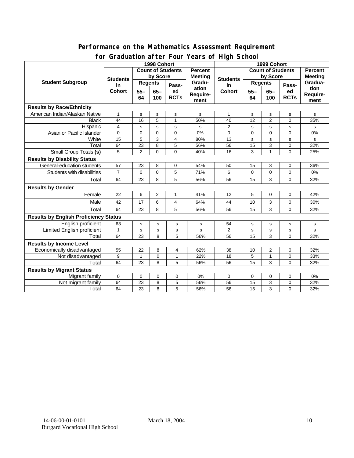#### **Performance on the Mathematics Assessment Requirement for Graduation after Four Years of High School**

|                                              | ordddation artor roar roars o'i rhyn Sonool<br>1998 Cohort |                                     |                |                |                                            | 1999 Cohort     |             |                         |                |          |  |
|----------------------------------------------|------------------------------------------------------------|-------------------------------------|----------------|----------------|--------------------------------------------|-----------------|-------------|-------------------------|----------------|----------|--|
|                                              |                                                            | <b>Count of Students</b><br>Percent |                |                | <b>Count of Students</b><br><b>Percent</b> |                 |             |                         |                |          |  |
| <b>Student Subgroup</b>                      | <b>Students</b><br>in<br><b>Cohort</b>                     | by Score                            |                |                | <b>Meeting</b><br>Gradu-                   | <b>Students</b> | by Score    |                         | <b>Meeting</b> |          |  |
|                                              |                                                            | <b>Regents</b>                      |                | <b>Regents</b> |                                            |                 |             | Gradua-                 |                |          |  |
|                                              |                                                            | $55 -$<br>$65 -$                    | Pass-<br>ed    | ation          | in<br><b>Cohort</b>                        | $55 -$          | $65 -$      | Pass-<br>ed             | tion           |          |  |
|                                              |                                                            | 64                                  | 100            | <b>RCTs</b>    | <b>Require-</b>                            |                 | 64          | 100                     | <b>RCTs</b>    | Require- |  |
|                                              |                                                            |                                     |                |                | ment                                       |                 |             |                         |                | ment     |  |
| <b>Results by Race/Ethnicity</b>             |                                                            |                                     |                |                |                                            |                 |             |                         |                |          |  |
| American Indian/Alaskan Native               | 1                                                          | s                                   | s              | s              | s                                          | 1               | s           | s                       | s              | s        |  |
| <b>Black</b>                                 | 44                                                         | 16                                  | 5              | $\mathbf{1}$   | 50%                                        | 40              | 12          | 2                       | $\Omega$       | 35%      |  |
| Hispanic                                     | 4                                                          | s                                   | s              | s              | s                                          | $\overline{2}$  | $\mathbf s$ | $\mathbf s$             | s              | s        |  |
| Asian or Pacific Islander                    | $\Omega$                                                   | 0                                   | $\Omega$       | $\Omega$       | 0%                                         | 0               | 0           | $\mathbf 0$             | $\Omega$       | 0%       |  |
| White                                        | 15                                                         | 5                                   | 3              | 4              | 80%                                        | 13              | s           | $\mathbf s$             | s              | s        |  |
| Total                                        | 64                                                         | 23                                  | 8              | 5              | 56%                                        | 56              | 15          | 3                       | 0              | 32%      |  |
| Small Group Totals (s)                       | 5                                                          | $\overline{2}$                      | $\mathbf 0$    | 0              | 40%                                        | 16              | 3           | $\mathbf{1}$            | 0              | 25%      |  |
| <b>Results by Disability Status</b>          |                                                            |                                     |                |                |                                            |                 |             |                         |                |          |  |
| General-education students                   | 57                                                         | 23                                  | 8              | 0              | 54%                                        | 50              | 15          | 3                       | 0              | 36%      |  |
| Students with disabilities                   | $\overline{7}$                                             | $\pmb{0}$                           | $\mathbf 0$    | 5              | 71%                                        | 6               | $\mathbf 0$ | 0                       | 0              | 0%       |  |
| Total                                        | 64                                                         | 23                                  | 8              | 5              | 56%                                        | 56              | 15          | 3                       | $\Omega$       | 32%      |  |
| <b>Results by Gender</b>                     |                                                            |                                     |                |                |                                            |                 |             |                         |                |          |  |
| Female                                       | 22                                                         | 6                                   | $\overline{2}$ | $\mathbf{1}$   | 41%                                        | 12              | 5           | 0                       | 0              | 42%      |  |
| Male                                         | 42                                                         | 17                                  | 6              | 4              | 64%                                        | 44              | 10          | 3                       | 0              | 30%      |  |
| Total                                        | 64                                                         | 23                                  | 8              | 5              | 56%                                        | 56              | 15          | 3                       | 0              | 32%      |  |
| <b>Results by English Proficiency Status</b> |                                                            |                                     |                |                |                                            |                 |             |                         |                |          |  |
| English proficient                           | 63                                                         | s                                   | s              | $\mathbf s$    | s                                          | 54              | s           | $\mathbf s$             | s              | s        |  |
| Limited English proficient                   | $\mathbf{1}$                                               | s                                   | s              | s              | s                                          | $\overline{2}$  | s           | $\mathbf s$             | s              | s        |  |
| Total                                        | 64                                                         | 23                                  | 8              | 5              | 56%                                        | 56              | 15          | 3                       | $\Omega$       | 32%      |  |
| <b>Results by Income Level</b>               |                                                            |                                     |                |                |                                            |                 |             |                         |                |          |  |
| Economically disadvantaged                   | 55                                                         | 22                                  | 8              | 4              | 62%                                        | 38              | 10          | $\overline{\mathbf{c}}$ | 0              | 32%      |  |
| Not disadvantaged                            | 9                                                          | 1                                   | 0              | $\mathbf{1}$   | 22%                                        | 18              | 5           | $\mathbf{1}$            | 0              | 33%      |  |
| Total                                        | 64                                                         | 23                                  | 8              | 5              | 56%                                        | 56              | 15          | 3                       | 0              | 32%      |  |
| <b>Results by Migrant Status</b>             |                                                            |                                     |                |                |                                            |                 |             |                         |                |          |  |
| Migrant family                               | $\mathbf 0$                                                | 0                                   | 0              | 0              | 0%                                         | 0               | 0           | 0                       | 0              | 0%       |  |
| Not migrant family                           | 64                                                         | 23                                  | 8              | 5              | 56%                                        | 56              | 15          | 3                       | 0              | 32%      |  |
| Total                                        | 64                                                         | 23                                  | 8              | 5              | 56%                                        | 56              | 15          | 3                       | 0              | 32%      |  |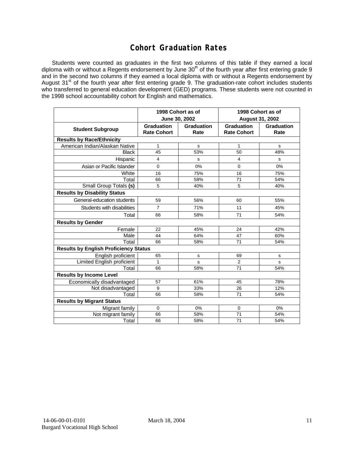### **Cohort Graduation Rates**

Students were counted as graduates in the first two columns of this table if they earned a local diploma with or without a Regents endorsement by June 30<sup>th</sup> of the fourth year after first entering grade 9 and in the second two columns if they earned a local diploma with or without a Regents endorsement by August 31<sup>st</sup> of the fourth year after first entering grade 9. The graduation-rate cohort includes students who transferred to general education development (GED) programs. These students were not counted in the 1998 school accountability cohort for English and mathematics.

|                                              | June 30, 2002                           | 1998 Cohort as of         | 1998 Cohort as of<br><b>August 31, 2002</b> |                           |  |  |  |  |  |
|----------------------------------------------|-----------------------------------------|---------------------------|---------------------------------------------|---------------------------|--|--|--|--|--|
| <b>Student Subgroup</b>                      | <b>Graduation</b><br><b>Rate Cohort</b> | <b>Graduation</b><br>Rate | Graduation<br><b>Rate Cohort</b>            | <b>Graduation</b><br>Rate |  |  |  |  |  |
| <b>Results by Race/Ethnicity</b>             |                                         |                           |                                             |                           |  |  |  |  |  |
| American Indian/Alaskan Native               | 1                                       | s                         | 1                                           | s                         |  |  |  |  |  |
| <b>Black</b>                                 | 45                                      | 53%                       | 50                                          | 48%                       |  |  |  |  |  |
| Hispanic                                     | 4                                       | s                         | 4                                           | s                         |  |  |  |  |  |
| Asian or Pacific Islander                    | $\mathbf 0$                             | 0%                        | $\mathbf 0$                                 | $0\%$                     |  |  |  |  |  |
| White                                        | 16                                      | 75%                       | 16                                          | 75%                       |  |  |  |  |  |
| Total                                        | 66                                      | 58%                       | 71                                          | 54%                       |  |  |  |  |  |
| Small Group Totals (s)                       | 5                                       | 40%                       | 5                                           | 40%                       |  |  |  |  |  |
| <b>Results by Disability Status</b>          |                                         |                           |                                             |                           |  |  |  |  |  |
| General-education students                   | 59                                      | 56%                       | 60                                          | 55%                       |  |  |  |  |  |
| Students with disabilities                   | $\overline{7}$                          | 71%                       | 11                                          | 45%                       |  |  |  |  |  |
| Total                                        | 66                                      | 58%                       | 71                                          | 54%                       |  |  |  |  |  |
| <b>Results by Gender</b>                     |                                         |                           |                                             |                           |  |  |  |  |  |
| Female                                       | 22                                      | 45%                       | 24                                          | 42%                       |  |  |  |  |  |
| Male                                         | 44                                      | 64%                       | 47                                          | 60%                       |  |  |  |  |  |
| Total                                        | 66                                      | 58%                       | 71                                          | 54%                       |  |  |  |  |  |
| <b>Results by English Proficiency Status</b> |                                         |                           |                                             |                           |  |  |  |  |  |
| English proficient                           | 65                                      | s                         | 69                                          | s                         |  |  |  |  |  |
| Limited English proficient                   | 1                                       | s                         | 2                                           | s                         |  |  |  |  |  |
| Total                                        | 66                                      | 58%                       | 71                                          | 54%                       |  |  |  |  |  |
| <b>Results by Income Level</b>               |                                         |                           |                                             |                           |  |  |  |  |  |
| Economically disadvantaged                   | 57                                      | 61%                       | 45                                          | 78%                       |  |  |  |  |  |
| Not disadvantaged                            | 9                                       | 33%                       | 26                                          | 12%                       |  |  |  |  |  |
| Total                                        | 66                                      | 58%                       | 71                                          | 54%                       |  |  |  |  |  |
| <b>Results by Migrant Status</b>             |                                         |                           |                                             |                           |  |  |  |  |  |
| Migrant family                               | 0                                       | 0%                        | 0                                           | 0%                        |  |  |  |  |  |
| Not migrant family                           | 66                                      | 58%                       | 71                                          | 54%                       |  |  |  |  |  |
| Total                                        | 66                                      | 58%                       | 71                                          | 54%                       |  |  |  |  |  |